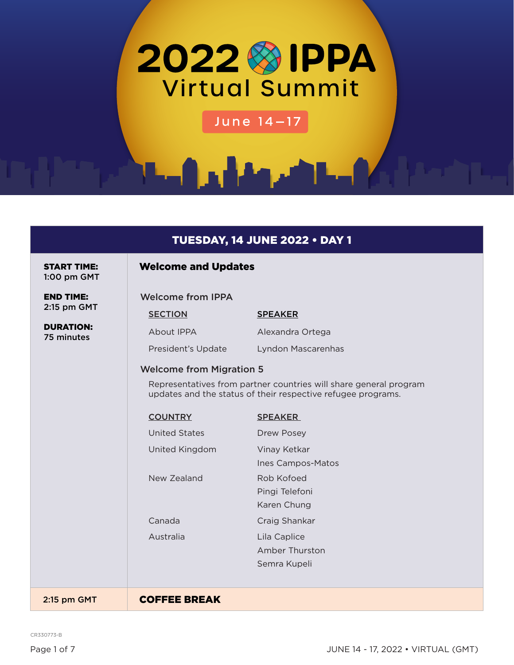

June 14-17

## TUESDAY, 14 JUNE 2022 • DAY 1

START TIME: 1:00 pm GMT

## Welcome and Updates

SECTION SPEAKER

About IPPA Alexandra Ortega

Welcome from IPPA

END TIME: 2:15 pm GMT

DURATION: 75 minutes

> President's Update Lyndon Mascarenhas Welcome from Migration 5 Representatives from partner countries will share general program

updates and the status of their respective refugee programs.

| <b>COUNTRY</b> | <b>SPEAKER</b>                                 |
|----------------|------------------------------------------------|
| United States  | Drew Posey                                     |
| United Kingdom | Vinay Ketkar<br>Ines Campos-Matos              |
| New Zealand    | Rob Kofoed<br>Pingi Telefoni<br>Karen Chung    |
| Canada         | Craig Shankar                                  |
| Australia      | Lila Caplice<br>Amber Thurston<br>Semra Kupeli |
|                |                                                |

2:15 pm GMT **COFFEE BREAK** 

CR330773-B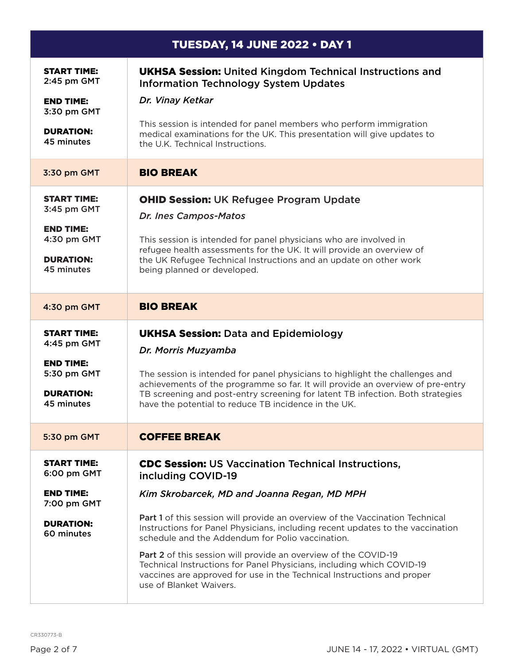| <b>TUESDAY, 14 JUNE 2022 • DAY 1</b>                                                                   |                                                                                                                                                                                                                                                                                                                                                                                                                                                                                                                                                                                                        |
|--------------------------------------------------------------------------------------------------------|--------------------------------------------------------------------------------------------------------------------------------------------------------------------------------------------------------------------------------------------------------------------------------------------------------------------------------------------------------------------------------------------------------------------------------------------------------------------------------------------------------------------------------------------------------------------------------------------------------|
| <b>START TIME:</b><br>2:45 pm GMT<br><b>END TIME:</b><br>3:30 pm GMT<br><b>DURATION:</b>               | <b>UKHSA Session:</b> United Kingdom Technical Instructions and<br><b>Information Technology System Updates</b><br>Dr. Vinay Ketkar<br>This session is intended for panel members who perform immigration<br>medical examinations for the UK. This presentation will give updates to                                                                                                                                                                                                                                                                                                                   |
| 45 minutes                                                                                             | the U.K. Technical Instructions.                                                                                                                                                                                                                                                                                                                                                                                                                                                                                                                                                                       |
| 3:30 pm GMT                                                                                            | <b>BIO BREAK</b>                                                                                                                                                                                                                                                                                                                                                                                                                                                                                                                                                                                       |
| <b>START TIME:</b><br>3:45 pm GMT<br><b>END TIME:</b><br>4:30 pm GMT<br><b>DURATION:</b><br>45 minutes | <b>OHID Session: UK Refugee Program Update</b><br>Dr. Ines Campos-Matos<br>This session is intended for panel physicians who are involved in<br>refugee health assessments for the UK. It will provide an overview of<br>the UK Refugee Technical Instructions and an update on other work<br>being planned or developed.                                                                                                                                                                                                                                                                              |
| 4:30 pm GMT                                                                                            | <b>BIO BREAK</b>                                                                                                                                                                                                                                                                                                                                                                                                                                                                                                                                                                                       |
| <b>START TIME:</b><br>4:45 pm GMT<br><b>END TIME:</b><br>5:30 pm GMT<br><b>DURATION:</b><br>45 minutes | <b>UKHSA Session: Data and Epidemiology</b><br>Dr. Morris Muzyamba<br>The session is intended for panel physicians to highlight the challenges and<br>achievements of the programme so far. It will provide an overview of pre-entry<br>TB screening and post-entry screening for latent TB infection. Both strategies<br>have the potential to reduce TB incidence in the UK.                                                                                                                                                                                                                         |
| 5:30 pm GMT                                                                                            | <b>COFFEE BREAK</b>                                                                                                                                                                                                                                                                                                                                                                                                                                                                                                                                                                                    |
| <b>START TIME:</b><br>6:00 pm GMT<br><b>END TIME:</b><br>7:00 pm GMT<br><b>DURATION:</b><br>60 minutes | <b>CDC Session: US Vaccination Technical Instructions,</b><br>including COVID-19<br>Kim Skrobarcek, MD and Joanna Regan, MD MPH<br>Part 1 of this session will provide an overview of the Vaccination Technical<br>Instructions for Panel Physicians, including recent updates to the vaccination<br>schedule and the Addendum for Polio vaccination.<br>Part 2 of this session will provide an overview of the COVID-19<br>Technical Instructions for Panel Physicians, including which COVID-19<br>vaccines are approved for use in the Technical Instructions and proper<br>use of Blanket Waivers. |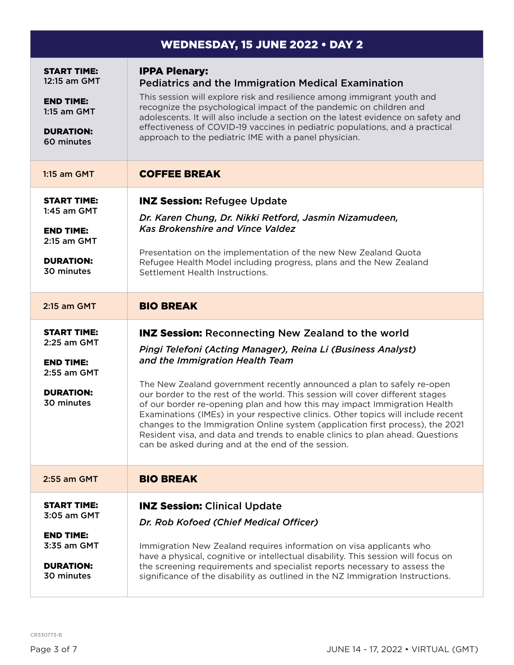| <b>WEDNESDAY, 15 JUNE 2022 . DAY 2</b>                                                                    |                                                                                                                                                                                                                                                                                                                                                                                                                                                                                                                                                                                                                                                                                                                  |
|-----------------------------------------------------------------------------------------------------------|------------------------------------------------------------------------------------------------------------------------------------------------------------------------------------------------------------------------------------------------------------------------------------------------------------------------------------------------------------------------------------------------------------------------------------------------------------------------------------------------------------------------------------------------------------------------------------------------------------------------------------------------------------------------------------------------------------------|
| <b>START TIME:</b><br>12:15 am GMT<br><b>END TIME:</b><br>$1:15$ am GMT<br><b>DURATION:</b><br>60 minutes | <b>IPPA Plenary:</b><br><b>Pediatrics and the Immigration Medical Examination</b><br>This session will explore risk and resilience among immigrant youth and<br>recognize the psychological impact of the pandemic on children and<br>adolescents. It will also include a section on the latest evidence on safety and<br>effectiveness of COVID-19 vaccines in pediatric populations, and a practical<br>approach to the pediatric IME with a panel physician.                                                                                                                                                                                                                                                  |
| 1:15 am GMT                                                                                               | <b>COFFEE BREAK</b>                                                                                                                                                                                                                                                                                                                                                                                                                                                                                                                                                                                                                                                                                              |
| <b>START TIME:</b><br>$1:45$ am GMT<br><b>END TIME:</b><br>2:15 am GMT<br><b>DURATION:</b><br>30 minutes  | <b>INZ Session: Refugee Update</b><br>Dr. Karen Chung, Dr. Nikki Retford, Jasmin Nizamudeen,<br><b>Kas Brokenshire and Vince Valdez</b><br>Presentation on the implementation of the new New Zealand Quota<br>Refugee Health Model including progress, plans and the New Zealand<br>Settlement Health Instructions.                                                                                                                                                                                                                                                                                                                                                                                              |
| 2:15 am GMT                                                                                               | <b>BIO BREAK</b>                                                                                                                                                                                                                                                                                                                                                                                                                                                                                                                                                                                                                                                                                                 |
| <b>START TIME:</b><br>2:25 am GMT<br><b>END TIME:</b><br>2:55 am GMT<br><b>DURATION:</b><br>30 minutes    | <b>INZ Session: Reconnecting New Zealand to the world</b><br>Pingi Telefoni (Acting Manager), Reina Li (Business Analyst)<br>and the Immigration Health Team<br>The New Zealand government recently announced a plan to safely re-open<br>our border to the rest of the world. This session will cover different stages<br>of our border re-opening plan and how this may impact Immigration Health<br>Examinations (IMEs) in your respective clinics. Other topics will include recent<br>changes to the Immigration Online system (application first process), the 2021<br>Resident visa, and data and trends to enable clinics to plan ahead. Questions<br>can be asked during and at the end of the session. |
| 2:55 am GMT                                                                                               | <b>BIO BREAK</b>                                                                                                                                                                                                                                                                                                                                                                                                                                                                                                                                                                                                                                                                                                 |
| <b>START TIME:</b><br>3:05 am GMT<br><b>END TIME:</b><br>3:35 am GMT<br><b>DURATION:</b><br>30 minutes    | <b>INZ Session: Clinical Update</b><br>Dr. Rob Kofoed (Chief Medical Officer)<br>Immigration New Zealand requires information on visa applicants who<br>have a physical, cognitive or intellectual disability. This session will focus on<br>the screening requirements and specialist reports necessary to assess the<br>significance of the disability as outlined in the NZ Immigration Instructions.                                                                                                                                                                                                                                                                                                         |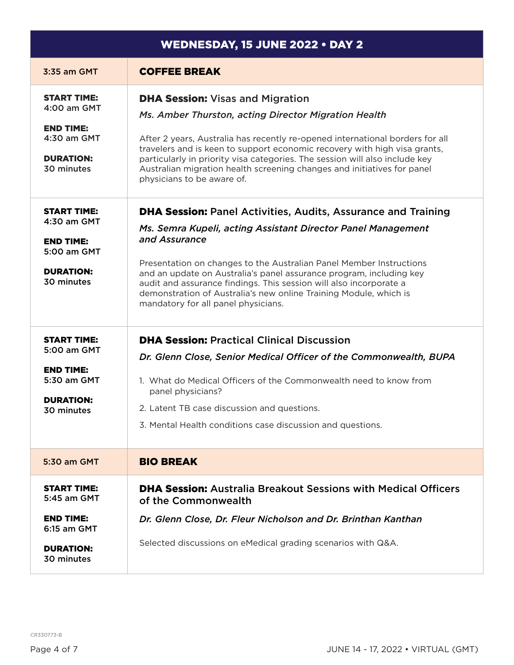| <b>WEDNESDAY, 15 JUNE 2022 • DAY 2</b>                                                                 |                                                                                                                                                                                                                                                                                                                                                                                                                                                                                       |
|--------------------------------------------------------------------------------------------------------|---------------------------------------------------------------------------------------------------------------------------------------------------------------------------------------------------------------------------------------------------------------------------------------------------------------------------------------------------------------------------------------------------------------------------------------------------------------------------------------|
| 3:35 am GMT                                                                                            | <b>COFFEE BREAK</b>                                                                                                                                                                                                                                                                                                                                                                                                                                                                   |
| <b>START TIME:</b><br>4:00 am GMT<br><b>END TIME:</b><br>4:30 am GMT<br><b>DURATION:</b><br>30 minutes | <b>DHA Session: Visas and Migration</b><br>Ms. Amber Thurston, acting Director Migration Health<br>After 2 years, Australia has recently re-opened international borders for all<br>travelers and is keen to support economic recovery with high visa grants,<br>particularly in priority visa categories. The session will also include key<br>Australian migration health screening changes and initiatives for panel<br>physicians to be aware of.                                 |
| <b>START TIME:</b><br>4:30 am GMT<br><b>END TIME:</b><br>5:00 am GMT<br><b>DURATION:</b><br>30 minutes | <b>DHA Session: Panel Activities, Audits, Assurance and Training</b><br>Ms. Semra Kupeli, acting Assistant Director Panel Management<br>and Assurance<br>Presentation on changes to the Australian Panel Member Instructions<br>and an update on Australia's panel assurance program, including key<br>audit and assurance findings. This session will also incorporate a<br>demonstration of Australia's new online Training Module, which is<br>mandatory for all panel physicians. |
| <b>START TIME:</b><br>5:00 am GMT<br><b>END TIME:</b><br>5:30 am GMT<br><b>DURATION:</b><br>30 minutes | <b>DHA Session: Practical Clinical Discussion</b><br>Dr. Glenn Close, Senior Medical Officer of the Commonwealth, BUPA<br>1. What do Medical Officers of the Commonwealth need to know from<br>panel physicians?<br>2. Latent TB case discussion and questions.<br>3. Mental Health conditions case discussion and questions.                                                                                                                                                         |
| 5:30 am GMT                                                                                            | <b>BIO BREAK</b>                                                                                                                                                                                                                                                                                                                                                                                                                                                                      |
| <b>START TIME:</b><br>5:45 am GMT<br><b>END TIME:</b><br>6:15 am GMT<br><b>DURATION:</b><br>30 minutes | <b>DHA Session:</b> Australia Breakout Sessions with Medical Officers<br>of the Commonwealth<br>Dr. Glenn Close, Dr. Fleur Nicholson and Dr. Brinthan Kanthan<br>Selected discussions on eMedical grading scenarios with Q&A.                                                                                                                                                                                                                                                         |

CR330773-B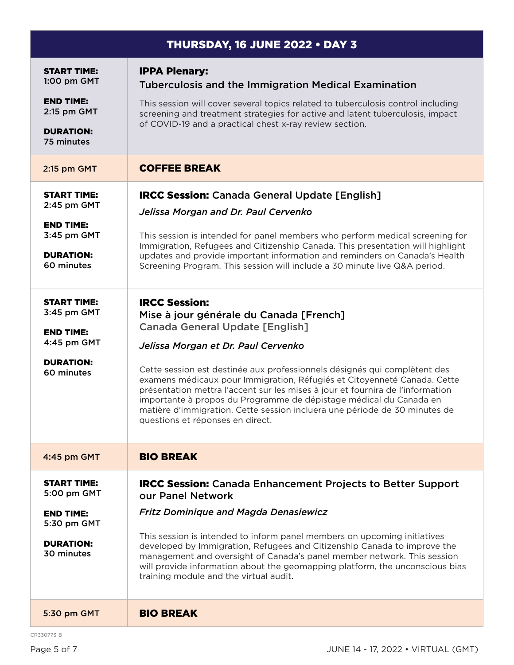| <b>THURSDAY, 16 JUNE 2022 • DAY 3</b>                                |                                                                                                                                                                                                                                                                                                                                                                                                                                 |
|----------------------------------------------------------------------|---------------------------------------------------------------------------------------------------------------------------------------------------------------------------------------------------------------------------------------------------------------------------------------------------------------------------------------------------------------------------------------------------------------------------------|
| <b>START TIME:</b><br>1:00 pm GMT                                    | <b>IPPA Plenary:</b><br><b>Tuberculosis and the Immigration Medical Examination</b>                                                                                                                                                                                                                                                                                                                                             |
| <b>END TIME:</b><br>2:15 pm GMT                                      | This session will cover several topics related to tuberculosis control including<br>screening and treatment strategies for active and latent tuberculosis, impact                                                                                                                                                                                                                                                               |
| <b>DURATION:</b><br>75 minutes                                       | of COVID-19 and a practical chest x-ray review section.                                                                                                                                                                                                                                                                                                                                                                         |
| 2:15 pm GMT                                                          | <b>COFFEE BREAK</b>                                                                                                                                                                                                                                                                                                                                                                                                             |
| <b>START TIME:</b><br>2:45 pm GMT<br><b>END TIME:</b><br>3:45 pm GMT | <b>IRCC Session:</b> Canada General Update [English]<br>Jelissa Morgan and Dr. Paul Cervenko<br>This session is intended for panel members who perform medical screening for<br>Immigration, Refugees and Citizenship Canada. This presentation will highlight                                                                                                                                                                  |
| <b>DURATION:</b><br>60 minutes                                       | updates and provide important information and reminders on Canada's Health<br>Screening Program. This session will include a 30 minute live Q&A period.                                                                                                                                                                                                                                                                         |
| <b>START TIME:</b><br>3:45 pm GMT<br><b>END TIME:</b>                | <b>IRCC Session:</b><br>Mise à jour générale du Canada [French]<br><b>Canada General Update [English]</b>                                                                                                                                                                                                                                                                                                                       |
| 4:45 pm GMT                                                          | Jelissa Morgan et Dr. Paul Cervenko                                                                                                                                                                                                                                                                                                                                                                                             |
| <b>DURATION:</b><br>60 minutes                                       | Cette session est destinée aux professionnels désignés qui complètent des<br>examens médicaux pour Immigration, Réfugiés et Citoyenneté Canada. Cette<br>présentation mettra l'accent sur les mises à jour et fournira de l'information<br>importante à propos du Programme de dépistage médical du Canada en<br>matière d'immigration. Cette session incluera une période de 30 minutes de<br>questions et réponses en direct. |
| 4:45 pm GMT                                                          | <b>BIO BREAK</b>                                                                                                                                                                                                                                                                                                                                                                                                                |
| <b>START TIME:</b><br>5:00 pm GMT                                    | <b>IRCC Session:</b> Canada Enhancement Projects to Better Support<br>our Panel Network                                                                                                                                                                                                                                                                                                                                         |
| <b>END TIME:</b><br>5:30 pm GMT                                      | <b>Fritz Dominique and Magda Denasiewicz</b>                                                                                                                                                                                                                                                                                                                                                                                    |
| <b>DURATION:</b><br>30 minutes                                       | This session is intended to inform panel members on upcoming initiatives<br>developed by Immigration, Refugees and Citizenship Canada to improve the<br>management and oversight of Canada's panel member network. This session<br>will provide information about the geomapping platform, the unconscious bias<br>training module and the virtual audit.                                                                       |
| 5:30 pm GMT                                                          | <b>BIO BREAK</b>                                                                                                                                                                                                                                                                                                                                                                                                                |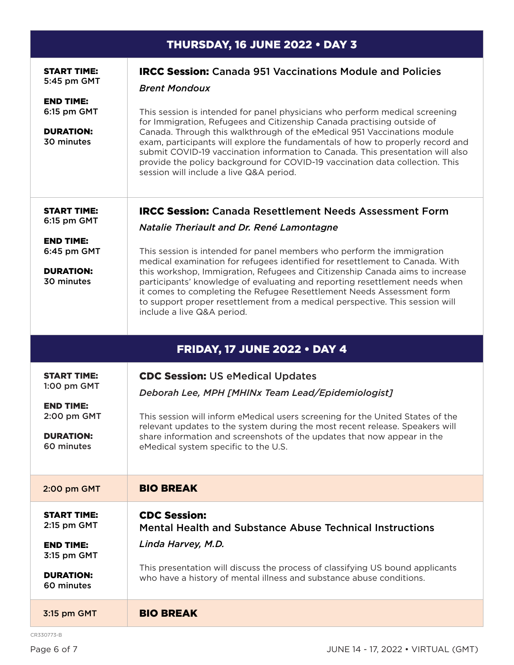| THURSDAY, 16 JUNE 2022 . DAY 3                                                                         |                                                                                                                                                                                                                                                                                                                                                                                                                                                                                                                                                                                                                              |  |
|--------------------------------------------------------------------------------------------------------|------------------------------------------------------------------------------------------------------------------------------------------------------------------------------------------------------------------------------------------------------------------------------------------------------------------------------------------------------------------------------------------------------------------------------------------------------------------------------------------------------------------------------------------------------------------------------------------------------------------------------|--|
| <b>START TIME:</b><br>5:45 pm GMT<br><b>END TIME:</b><br>6:15 pm GMT<br><b>DURATION:</b><br>30 minutes | <b>IRCC Session:</b> Canada 951 Vaccinations Module and Policies<br><b>Brent Mondoux</b><br>This session is intended for panel physicians who perform medical screening<br>for Immigration, Refugees and Citizenship Canada practising outside of<br>Canada. Through this walkthrough of the eMedical 951 Vaccinations module<br>exam, participants will explore the fundamentals of how to properly record and<br>submit COVID-19 vaccination information to Canada. This presentation will also<br>provide the policy background for COVID-19 vaccination data collection. This<br>session will include a live Q&A period. |  |
| <b>START TIME:</b><br>6:15 pm GMT<br><b>END TIME:</b><br>6:45 pm GMT<br><b>DURATION:</b><br>30 minutes | <b>IRCC Session:</b> Canada Resettlement Needs Assessment Form<br>Natalie Theriault and Dr. René Lamontagne<br>This session is intended for panel members who perform the immigration<br>medical examination for refugees identified for resettlement to Canada. With<br>this workshop, Immigration, Refugees and Citizenship Canada aims to increase<br>participants' knowledge of evaluating and reporting resettlement needs when<br>it comes to completing the Refugee Resettlement Needs Assessment form<br>to support proper resettlement from a medical perspective. This session will<br>include a live Q&A period.  |  |
|                                                                                                        | <b>FRIDAY, 17 JUNE 2022 • DAY 4</b>                                                                                                                                                                                                                                                                                                                                                                                                                                                                                                                                                                                          |  |
| <b>START TIME:</b><br>1:00 pm GMT<br><b>END TIME:</b><br>2:00 pm GMT<br><b>DURATION:</b><br>60 minutes | <b>CDC Session: US eMedical Updates</b><br>Deborah Lee, MPH [MHINx Team Lead/Epidemiologist]<br>This session will inform eMedical users screening for the United States of the<br>relevant updates to the system during the most recent release. Speakers will<br>share information and screenshots of the updates that now appear in the<br>eMedical system specific to the U.S.                                                                                                                                                                                                                                            |  |
| 2:00 pm GMT                                                                                            | <b>BIO BREAK</b>                                                                                                                                                                                                                                                                                                                                                                                                                                                                                                                                                                                                             |  |
| <b>START TIME:</b><br>2:15 pm GMT<br><b>END TIME:</b><br>3:15 pm GMT<br><b>DURATION:</b><br>60 minutes | <b>CDC Session:</b><br><b>Mental Health and Substance Abuse Technical Instructions</b><br>Linda Harvey, M.D.<br>This presentation will discuss the process of classifying US bound applicants<br>who have a history of mental illness and substance abuse conditions.                                                                                                                                                                                                                                                                                                                                                        |  |
| 3:15 pm GMT                                                                                            | <b>BIO BREAK</b>                                                                                                                                                                                                                                                                                                                                                                                                                                                                                                                                                                                                             |  |

CR330773-B